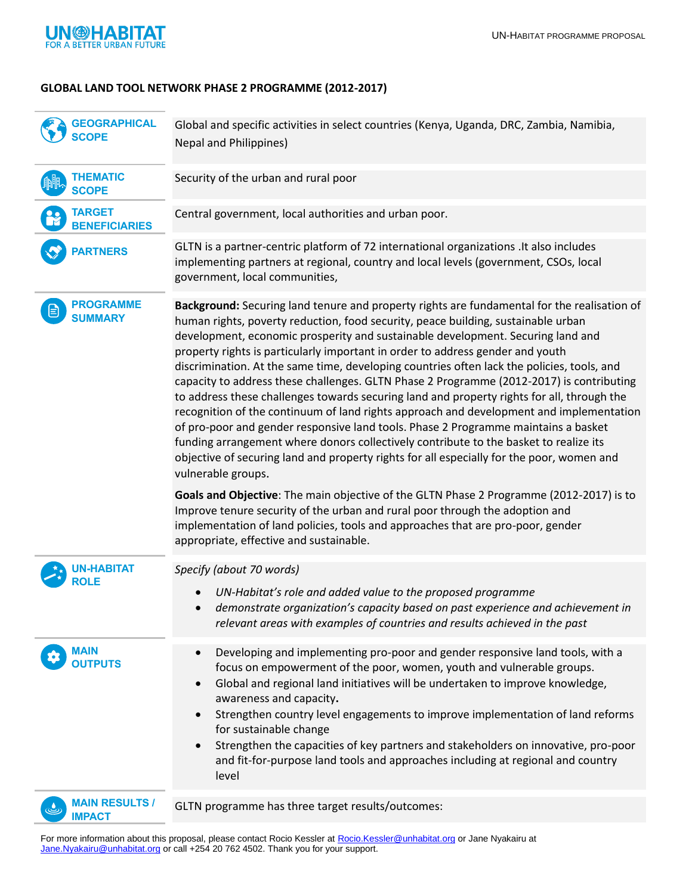

## **GLOBAL LAND TOOL NETWORK PHASE 2 PROGRAMME (2012-2017)**

| <b>GEOGRAPHICAL</b><br><b>SCOPE</b>    | Global and specific activities in select countries (Kenya, Uganda, DRC, Zambia, Namibia,<br><b>Nepal and Philippines)</b>                                                                                                                                                                                                                                                                                                                                                                                                                                                                                                                                                                                                                                                                                                                                                                                                                                                                                                                  |
|----------------------------------------|--------------------------------------------------------------------------------------------------------------------------------------------------------------------------------------------------------------------------------------------------------------------------------------------------------------------------------------------------------------------------------------------------------------------------------------------------------------------------------------------------------------------------------------------------------------------------------------------------------------------------------------------------------------------------------------------------------------------------------------------------------------------------------------------------------------------------------------------------------------------------------------------------------------------------------------------------------------------------------------------------------------------------------------------|
| <b>THEMATIC</b><br><b>SCOPE</b>        | Security of the urban and rural poor                                                                                                                                                                                                                                                                                                                                                                                                                                                                                                                                                                                                                                                                                                                                                                                                                                                                                                                                                                                                       |
| <b>TARGET</b><br><b>NEFICIARIES</b>    | Central government, local authorities and urban poor.                                                                                                                                                                                                                                                                                                                                                                                                                                                                                                                                                                                                                                                                                                                                                                                                                                                                                                                                                                                      |
| <b>PARTNERS</b>                        | GLTN is a partner-centric platform of 72 international organizations . It also includes<br>implementing partners at regional, country and local levels (government, CSOs, local<br>government, local communities,                                                                                                                                                                                                                                                                                                                                                                                                                                                                                                                                                                                                                                                                                                                                                                                                                          |
| <b>PROGRAMME</b><br><b>SUMMARY</b>     | Background: Securing land tenure and property rights are fundamental for the realisation of<br>human rights, poverty reduction, food security, peace building, sustainable urban<br>development, economic prosperity and sustainable development. Securing land and<br>property rights is particularly important in order to address gender and youth<br>discrimination. At the same time, developing countries often lack the policies, tools, and<br>capacity to address these challenges. GLTN Phase 2 Programme (2012-2017) is contributing<br>to address these challenges towards securing land and property rights for all, through the<br>recognition of the continuum of land rights approach and development and implementation<br>of pro-poor and gender responsive land tools. Phase 2 Programme maintains a basket<br>funding arrangement where donors collectively contribute to the basket to realize its<br>objective of securing land and property rights for all especially for the poor, women and<br>vulnerable groups. |
|                                        | Goals and Objective: The main objective of the GLTN Phase 2 Programme (2012-2017) is to<br>Improve tenure security of the urban and rural poor through the adoption and<br>implementation of land policies, tools and approaches that are pro-poor, gender<br>appropriate, effective and sustainable.                                                                                                                                                                                                                                                                                                                                                                                                                                                                                                                                                                                                                                                                                                                                      |
| IN-HABITAT<br>ROLE                     | Specify (about 70 words)<br>UN-Habitat's role and added value to the proposed programme<br>demonstrate organization's capacity based on past experience and achievement in<br>relevant areas with examples of countries and results achieved in the past                                                                                                                                                                                                                                                                                                                                                                                                                                                                                                                                                                                                                                                                                                                                                                                   |
| MAIN<br><b>OUTPUTS</b>                 | Developing and implementing pro-poor and gender responsive land tools, with a<br>$\bullet$<br>focus on empowerment of the poor, women, youth and vulnerable groups.<br>Global and regional land initiatives will be undertaken to improve knowledge,<br>$\bullet$<br>awareness and capacity.<br>Strengthen country level engagements to improve implementation of land reforms<br>for sustainable change<br>Strengthen the capacities of key partners and stakeholders on innovative, pro-poor<br>and fit-for-purpose land tools and approaches including at regional and country<br>level                                                                                                                                                                                                                                                                                                                                                                                                                                                 |
| <b>MAIN RESULTS /</b><br><b>IMPACT</b> | GLTN programme has three target results/outcomes:                                                                                                                                                                                                                                                                                                                                                                                                                                                                                                                                                                                                                                                                                                                                                                                                                                                                                                                                                                                          |

For more information about this proposal, please contact Rocio Kessler at [Rocio.Kessler@unhabitat.org](mailto:Rocio.Kessler@unhabitat.org) or Jane Nyakairu at [Jane.Nyakairu@unhabitat.org](mailto:Jane.Nyakairu@unhabitat.org) or call +254 20 762 4502. Thank you for your support.